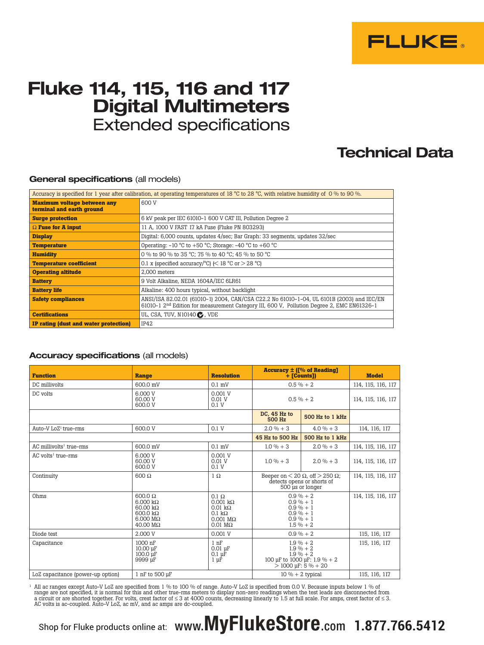

## **Fluke 114, 115, 116 and 117 Digital Multimeters** Extended specifications

### **Technical Data**

### **General specifications** (all models)

| Accuracy is specified for 1 year after calibration, at operating temperatures of 18 °C to 28 °C, with relative humidity of 0 % to 90 %. |                                                                                                                                                                                                     |  |  |
|-----------------------------------------------------------------------------------------------------------------------------------------|-----------------------------------------------------------------------------------------------------------------------------------------------------------------------------------------------------|--|--|
| <b>Maximum voltage between any</b><br>terminal and earth ground                                                                         | 600 V                                                                                                                                                                                               |  |  |
| <b>Surge protection</b>                                                                                                                 | 6 kV peak per IEC 61010-1 600 V CAT III, Pollution Degree 2                                                                                                                                         |  |  |
| $\Omega$ Fuse for A input                                                                                                               | 11 A, 1000 V FAST 17 kA Fuse (Fluke PN 803293)                                                                                                                                                      |  |  |
| <b>Display</b>                                                                                                                          | Digital: 6,000 counts, updates 4/sec; Bar Graph: 33 segments, updates 32/sec                                                                                                                        |  |  |
| <b>Temperature</b>                                                                                                                      | Operating: $-10$ °C to $+50$ °C; Storage: $-40$ °C to $+60$ °C                                                                                                                                      |  |  |
| <b>Humidity</b>                                                                                                                         | 0 % to 90 % to 35 °C: 75 % to 40 °C: 45 % to 50 °C                                                                                                                                                  |  |  |
| <b>Temperature coefficient</b>                                                                                                          | 0.1 x (specified accuracy/ $^{\circ}$ C) (< 18 $^{\circ}$ C or > 28 $^{\circ}$ C)                                                                                                                   |  |  |
| <b>Operating altitude</b>                                                                                                               | 2.000 meters                                                                                                                                                                                        |  |  |
| <b>Battery</b>                                                                                                                          | 9 Volt Alkaline, NEDA 1604A/IEC 6LR61                                                                                                                                                               |  |  |
| <b>Battery life</b>                                                                                                                     | Alkaline: 400 hours typical, without backlight                                                                                                                                                      |  |  |
| <b>Safety compliances</b>                                                                                                               | ANSI/ISA 82.02.01 (61010-1) 2004, CAN/CSA C22.2 No 61010-1-04, UL 6101B (2003) and IEC/EN<br>61010-1 2 <sup>nd</sup> Edition for measurement Category III, 600 V, Pollution Degree 2, EMC EN61326-1 |  |  |
| <b>Certifications</b>                                                                                                                   | UL, CSA, TUV, N10140 C, VDE                                                                                                                                                                         |  |  |
| IP rating (dust and water protection)                                                                                                   | IP42                                                                                                                                                                                                |  |  |

#### **Accuracy specifications** (all models)

| <b>Function</b>                       | <b>Range</b>                                                                                                                                          | <b>Resolution</b>                                                                                                                  | <b>Accuracy <math>\pm</math> ([% of Reading]</b><br>$+$ [Counts]]                                                     |                    | <b>Model</b>       |
|---------------------------------------|-------------------------------------------------------------------------------------------------------------------------------------------------------|------------------------------------------------------------------------------------------------------------------------------------|-----------------------------------------------------------------------------------------------------------------------|--------------------|--------------------|
| DC millivolts                         | 600.0 mV                                                                                                                                              | $0.1$ mV                                                                                                                           | $0.5 \% + 2$                                                                                                          |                    | 114, 115, 116, 117 |
| DC volts                              | 6.000 V<br>60.00 V<br>600.0 V                                                                                                                         | 0.001V<br>0.01 V<br>0.1 V                                                                                                          | $0.5\% + 2$                                                                                                           |                    | 114, 115, 116, 117 |
|                                       | DC, 45 Hz to<br>500 Hz                                                                                                                                | 500 Hz to 1 kHz                                                                                                                    |                                                                                                                       |                    |                    |
| Auto-V $LoZ^1$ true-rms               | 600.0 V                                                                                                                                               | 0.1V                                                                                                                               | $2.0\% + 3$                                                                                                           | $4.0\% + 3$        | 114, 116, 117      |
|                                       |                                                                                                                                                       |                                                                                                                                    | 45 Hz to 500 Hz                                                                                                       | 500 Hz to 1 kHz    |                    |
| $AC$ millivolts <sup>1</sup> true-rms | 600.0 mV                                                                                                                                              | $0.1$ mV                                                                                                                           | $1.0 \% + 3$                                                                                                          | $2.0\% + 3$        | 114, 115, 116, 117 |
| $AC$ volts <sup>1</sup> true-rms      | 6.000 V<br>60.00 V<br>600.0 V                                                                                                                         | 0.001V<br>0.01V<br>0.1V                                                                                                            | $1.0 \% + 3$                                                                                                          | $2.0\% + 3$        | 114, 115, 116, 117 |
| Continuity                            | $600 \Omega$                                                                                                                                          | $1 \Omega$                                                                                                                         | Beeper on $< 20 \Omega$ , off $> 250 \Omega$ .<br>detects opens or shorts of<br>500 us or longer                      |                    | 114, 115, 116, 117 |
| Ohms                                  | $600.0 \Omega$<br>$6.000 \text{ k}\Omega$<br>$60.00 \text{ k}\Omega$<br>$600.0 \text{ k}\Omega$<br>$6.000 \text{ M}\Omega$<br>$40.00 \text{ M}\Omega$ | $0.1 \Omega$<br>$0.001 \text{ k}\Omega$<br>$0.01 \text{ k}\Omega$<br>$0.1 k\Omega$<br>$0.001$ M $\Omega$<br>$0.01 \text{ M}\Omega$ | $0.9 \% + 2$<br>$0.9 \% + 1$<br>$0.9 \% + 1$<br>$0.9 \% + 1$<br>$0.9 \% + 1$<br>$1.5 \% + 2$                          |                    | 114, 115, 116, 117 |
| Diode test                            | 2.000 V                                                                                                                                               | 0.001V                                                                                                                             | $0.9 \% + 2$                                                                                                          |                    | 115, 116, 117      |
| Capacitance                           | 1000 nF<br>10.00 uF<br>$100.0 \text{ µF}$<br>9999 µF                                                                                                  | 1 <sub>nF</sub><br>$0.01 \text{ µF}$<br>$0.1 \mu \dot{F}$<br>$1 \mu F$                                                             | $1.9\% + 2$<br>$1.9 \% + 2$<br>$1.9\% + 2$<br>100 µF to 1000 µF: 1.9 % + 2<br>$> 1000 \text{ }\mu\text{F}$ : 5 % + 20 |                    | 115, 116, 117      |
| LoZ capacitance (power-up option)     | 1 nF to 500 µF                                                                                                                                        |                                                                                                                                    |                                                                                                                       | $10\% + 2$ typical | 115, 116, 117      |

<sup>1</sup> All ac ranges except Auto-V LoZ are specified from 1 % to 100 % of range. Auto-V LoZ is specified from 0.0 V. Because inputs below 1 % of range are not specified, it is normal for this and other true-rms meters to display non-zero readings when the test leads are disconnected from<br>a circuit or are shorted together. For volts, crest factor of ≤ 3 at 4000 cou

# Shop for Fluke products online at: www.MyFlukeStore.com **1.877.766.5412**